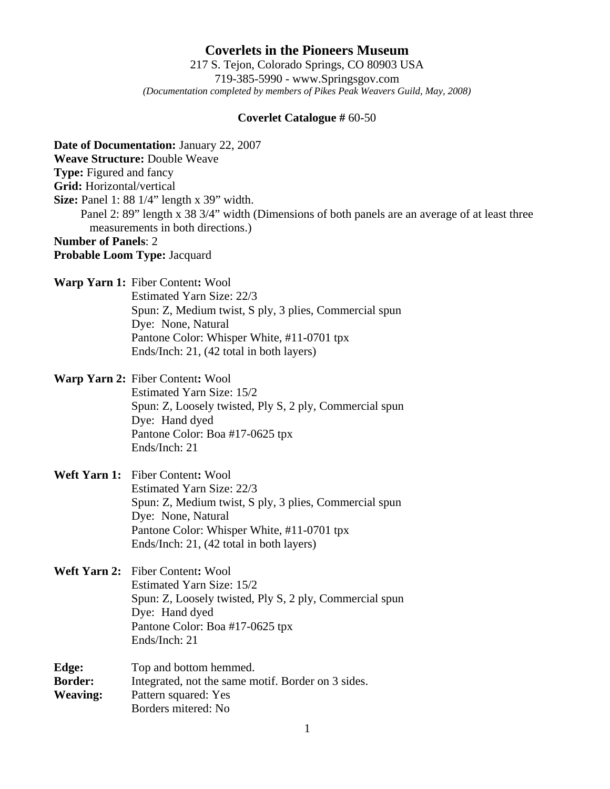**Coverlets in the Pioneers Museum** 217 S. Tejon, Colorado Springs, CO 80903 USA 719-385-5990 - www.Springsgov.com *(Documentation completed by members of Pikes Peak Weavers Guild, May, 2008)* 

## **Coverlet Catalogue #** 60-50

**Date of Documentation:** January 22, 2007 **Weave Structure:** Double Weave **Type:** Figured and fancy **Grid:** Horizontal/vertical **Size:** Panel 1: 88 1/4" length x 39" width. Panel 2: 89" length x 38 3/4" width (Dimensions of both panels are an average of at least three measurements in both directions.) **Number of Panels**: 2 **Probable Loom Type:** Jacquard **Warp Yarn 1:** Fiber Content**:** Wool Estimated Yarn Size: 22/3 Spun: Z, Medium twist, S ply, 3 plies, Commercial spun Dye: None, Natural Pantone Color: Whisper White, #11-0701 tpx Ends/Inch: 21, (42 total in both layers) **Warp Yarn 2:** Fiber Content**:** Wool Estimated Yarn Size: 15/2 Spun: Z, Loosely twisted, Ply S, 2 ply, Commercial spun Dye: Hand dyed Pantone Color: Boa #17-0625 tpx Ends/Inch: 21 **Weft Yarn 1:** Fiber Content**:** Wool Estimated Yarn Size: 22/3 Spun: Z, Medium twist, S ply, 3 plies, Commercial spun Dye: None, Natural Pantone Color: Whisper White, #11-0701 tpx Ends/Inch: 21, (42 total in both layers) **Weft Yarn 2:** Fiber Content**:** Wool Estimated Yarn Size: 15/2 Spun: Z, Loosely twisted, Ply S, 2 ply, Commercial spun Dye: Hand dyed Pantone Color: Boa #17-0625 tpx Ends/Inch: 21 **Edge:** Top and bottom hemmed. **Border:** Integrated, not the same motif. Border on 3 sides. **Weaving:** Pattern squared: Yes Borders mitered: No